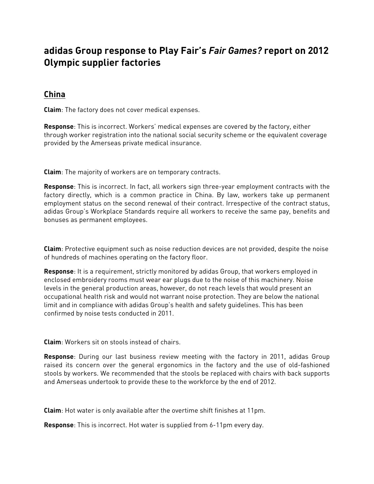## **adidas Group response to Play Fair's** *Fair Games?* **report on 2012 Olympic supplier factories**

## **China**

**Claim**: The factory does not cover medical expenses.

**Response**: This is incorrect. Workers' medical expenses are covered by the factory, either through worker registration into the national social security scheme or the equivalent coverage provided by the Amerseas private medical insurance.

**Claim**: The majority of workers are on temporary contracts.

**Response**: This is incorrect. In fact, all workers sign three-year employment contracts with the factory directly, which is a common practice in China. By law, workers take up permanent employment status on the second renewal of their contract. Irrespective of the contract status, adidas Group's Workplace Standards require all workers to receive the same pay, benefits and bonuses as permanent employees.

**Claim**: Protective equipment such as noise reduction devices are not provided, despite the noise of hundreds of machines operating on the factory floor.

**Response**: It is a requirement, strictly monitored by adidas Group, that workers employed in enclosed embroidery rooms must wear ear plugs due to the noise of this machinery. Noise levels in the general production areas, however, do not reach levels that would present an occupational health risk and would not warrant noise protection. They are below the national limit and in compliance with adidas Group's health and safety guidelines. This has been confirmed by noise tests conducted in 2011.

**Claim**: Workers sit on stools instead of chairs.

**Response**: During our last business review meeting with the factory in 2011, adidas Group raised its concern over the general ergonomics in the factory and the use of old-fashioned stools by workers. We recommended that the stools be replaced with chairs with back supports and Amerseas undertook to provide these to the workforce by the end of 2012.

**Claim**: Hot water is only available after the overtime shift finishes at 11pm.

**Response**: This is incorrect. Hot water is supplied from 6-11pm every day.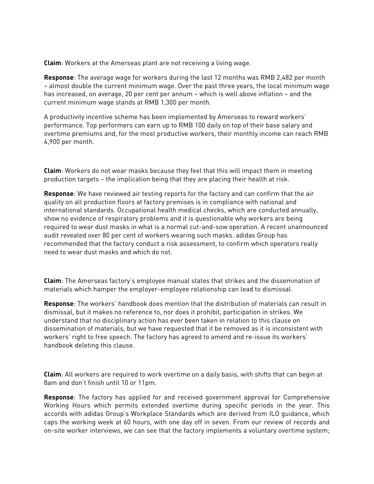**Claim**: Workers at the Amerseas plant are not receiving a living wage.

**Response**: The average wage for workers during the last 12 months was RMB 2,482 per month – almost double the current minimum wage. Over the past three years, the local minimum wage has increased, on average, 20 per cent per annum – which is well above inflation – and the current minimum wage stands at RMB 1,300 per month.

A productivity incentive scheme has been implemented by Amerseas to reward workers' performance. Top performers can earn up to RMB 100 daily on top of their base salary and overtime premiums and, for the most productive workers, their monthly income can reach RMB 4,900 per month.

**Claim**: Workers do not wear masks because they feel that this will impact them in meeting production targets – the implication being that they are placing their health at risk.

**Response**: We have reviewed air testing reports for the factory and can confirm that the air quality on all production floors at factory premises is in compliance with national and international standards. Occupational health medical checks, which are conducted annually, show no evidence of respiratory problems and it is questionable why workers are being required to wear dust masks in what is a normal cut-and-sow operation. A recent unannounced audit revealed over 80 per cent of workers wearing such masks. adidas Group has recommended that the factory conduct a risk assessment, to confirm which operators really need to wear dust masks and which do not.

**Claim**: The Amerseas factory's employee manual states that strikes and the dissemination of materials which hamper the employer-employee relationship can lead to dismissal.

**Response**: The workers' handbook does mention that the distribution of materials can result in dismissal, but it makes no reference to, nor does it prohibit, participation in strikes. We understand that no disciplinary action has ever been taken in relation to this clause on dissemination of materials, but we have requested that it be removed as it is inconsistent with workers' right to free speech. The factory has agreed to amend and re-issue its workers' handbook deleting this clause.

**Claim**: All workers are required to work overtime on a daily basis, with shifts that can begin at 8am and don't finish until 10 or 11pm.

**Response**: The factory has applied for and received government approval for Comprehensive Working Hours which permits extended overtime during specific periods in the year. This accords with adidas Group's Workplace Standards which are derived from ILO guidance, which caps the working week at 60 hours, with one day off in seven. From our review of records and on-site worker interviews, we can see that the factory implements a voluntary overtime system;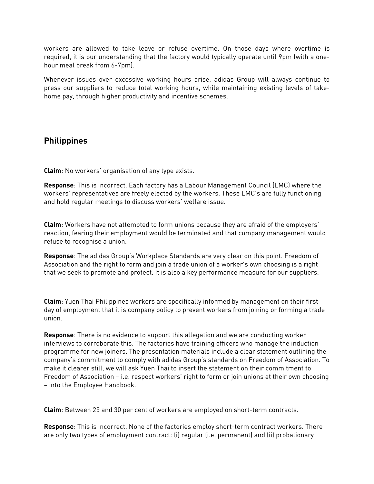workers are allowed to take leave or refuse overtime. On those days where overtime is required, it is our understanding that the factory would typically operate until 9pm (with a onehour meal break from 6-7pm).

Whenever issues over excessive working hours arise, adidas Group will always continue to press our suppliers to reduce total working hours, while maintaining existing levels of takehome pay, through higher productivity and incentive schemes.

## **Philippines**

**Claim**: No workers' organisation of any type exists.

**Response**: This is incorrect. Each factory has a Labour Management Council (LMC) where the workers' representatives are freely elected by the workers. These LMC's are fully functioning and hold regular meetings to discuss workers' welfare issue.

**Claim**: Workers have not attempted to form unions because they are afraid of the employers' reaction, fearing their employment would be terminated and that company management would refuse to recognise a union.

**Response**: The adidas Group's Workplace Standards are very clear on this point. Freedom of Association and the right to form and join a trade union of a worker's own choosing is a right that we seek to promote and protect. It is also a key performance measure for our suppliers.

**Claim**: Yuen Thai Philippines workers are specifically informed by management on their first day of employment that it is company policy to prevent workers from joining or forming a trade union.

**Response**: There is no evidence to support this allegation and we are conducting worker interviews to corroborate this. The factories have training officers who manage the induction programme for new joiners. The presentation materials include a clear statement outlining the company's commitment to comply with adidas Group's standards on Freedom of Association. To make it clearer still, we will ask Yuen Thai to insert the statement on their commitment to Freedom of Association – i.e. respect workers' right to form or join unions at their own choosing – into the Employee Handbook.

**Claim**: Between 25 and 30 per cent of workers are employed on short-term contracts.

**Response**: This is incorrect. None of the factories employ short-term contract workers. There are only two types of employment contract: (i) regular (i.e. permanent) and (ii) probationary